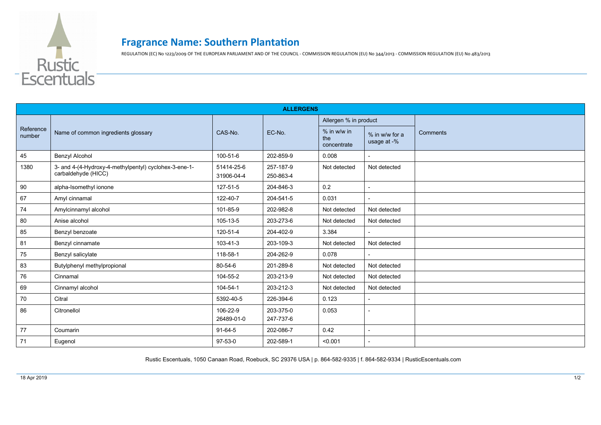

## **Fragrance Name: Southern Plantation**

REGULATION (EC) No 1223/2009 OF THE EUROPEAN PARLIAMENT AND OF THE COUNCIL - COMMISSION REGULATION (EU) No 344/2013 - COMMISSION REGULATION (EU) No 483/2013

| <b>ALLERGENS</b>    |                                                                              |                          |                        |                                   |                               |          |  |  |  |
|---------------------|------------------------------------------------------------------------------|--------------------------|------------------------|-----------------------------------|-------------------------------|----------|--|--|--|
| Reference<br>number | Name of common ingredients glossary                                          | CAS-No.                  | EC-No.                 | Allergen % in product             |                               |          |  |  |  |
|                     |                                                                              |                          |                        | % in w/w in<br>the<br>concentrate | % in w/w for a<br>usage at -% | Comments |  |  |  |
| 45                  | <b>Benzyl Alcohol</b>                                                        | 100-51-6                 | 202-859-9              | 0.008                             |                               |          |  |  |  |
| 1380                | 3- and 4-(4-Hydroxy-4-methylpentyl) cyclohex-3-ene-1-<br>carbaldehyde (HICC) | 51414-25-6<br>31906-04-4 | 257-187-9<br>250-863-4 | Not detected                      | Not detected                  |          |  |  |  |
| 90                  | alpha-Isomethyl ionone                                                       | 127-51-5                 | 204-846-3              | $0.2\,$                           |                               |          |  |  |  |
| 67                  | Amyl cinnamal                                                                | 122-40-7                 | 204-541-5              | 0.031                             |                               |          |  |  |  |
| 74                  | Amylcinnamyl alcohol                                                         | 101-85-9                 | 202-982-8              | Not detected                      | Not detected                  |          |  |  |  |
| 80                  | Anise alcohol                                                                | 105-13-5                 | 203-273-6              | Not detected                      | Not detected                  |          |  |  |  |
| 85                  | Benzyl benzoate                                                              | 120-51-4                 | 204-402-9              | 3.384                             |                               |          |  |  |  |
| 81                  | Benzyl cinnamate                                                             | 103-41-3                 | 203-109-3              | Not detected                      | Not detected                  |          |  |  |  |
| 75                  | Benzyl salicylate                                                            | 118-58-1                 | 204-262-9              | 0.078                             |                               |          |  |  |  |
| 83                  | Butylphenyl methylpropional                                                  | 80-54-6                  | 201-289-8              | Not detected                      | Not detected                  |          |  |  |  |
| 76                  | Cinnamal                                                                     | 104-55-2                 | 203-213-9              | Not detected                      | Not detected                  |          |  |  |  |
| 69                  | Cinnamyl alcohol                                                             | 104-54-1                 | 203-212-3              | Not detected                      | Not detected                  |          |  |  |  |
| 70                  | Citral                                                                       | 5392-40-5                | 226-394-6              | 0.123                             |                               |          |  |  |  |
| 86                  | Citronellol                                                                  | 106-22-9<br>26489-01-0   | 203-375-0<br>247-737-6 | 0.053                             | $\overline{a}$                |          |  |  |  |
| 77                  | Coumarin                                                                     | 91-64-5                  | 202-086-7              | 0.42                              | $\overline{\phantom{a}}$      |          |  |  |  |
| 71                  | Eugenol                                                                      | $97 - 53 - 0$            | 202-589-1              | < 0.001                           |                               |          |  |  |  |

Rustic Escentuals, 1050 Canaan Road, Roebuck, SC 29376 USA | p. 864-582-9335 | f. 864-582-9334 | RusticEscentuals.com